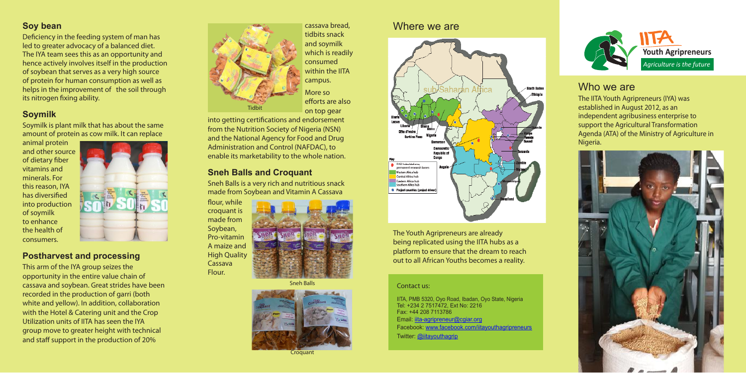The IITA Youth Agripreneurs (IYA) was established in August 2012, as an independent agribusiness enterprise to support the Agricultural Transformation Agenda (ATA) of the Ministry of Agriculture in Nigeria.



## **Soy bean**

Deficiency in the feeding system of man has led to greater advocacy of a balanced diet. The IYA team sees this as an opportunity and hence actively involves itself in the production of soybean that serves as a very high source of protein for human consumption as well as helps in the improvement of the soil through its nitrogen fixing ability.

## **Soymilk**

Soymilk is plant milk that has about the same amount of protein as cow milk. It can replace

> IITA, PMB 5320, Oyo Road, Ibadan, Oyo State, Nigeria Tel: +234 2 7517472, Ext No: 2216 Fax: +44 208 7113786 Email: iita-agripreneur@cgiar.org Facebook: www.facebook.com/iitayouthagripreneurs Twitter: @iitayouthagrip

animal protein and other source of dietary fiber vitamins and minerals. For this reason, IYA has diversified into production of soymilk to enhance the health of consumers.



## **Postharvest and processing**

This arm of the IYA group seizes the opportunity in the entire value chain of cassava and soybean. Great strides have been recorded in the production of garri (both white and yellow). In addition, collaboration with the Hotel & Catering unit and the Crop Utilization units of IITA has seen the IYA group move to greater height with technical and staff support in the production of 20%

## **Sneh Balls and Croquant**

Sneh Balls is a very rich and nutritious snack made from Soybean and Vitamin A Cassava



# Who we are

#### Contact us:

## Where we are



The Youth Agripreneurs are already being replicated using the IITA hubs as a platform to ensure that the dream to reach out to all African Youths becomes a reality.



cassava bread, tidbits snack and soymilk which is readily consumed within the IITA campus. More so efforts are also on top gear

into getting certifications and endorsement from the Nutrition Society of Nigeria (NSN) and the National Agency for Food and Drug Administration and Control (NAFDAC), to enable its marketability to the whole nation.

flour, while croquant is made from Soybean, Pro-vitamin A maize and **High Quality** Cassava Flour.



Sneh Balls



**Croquant**